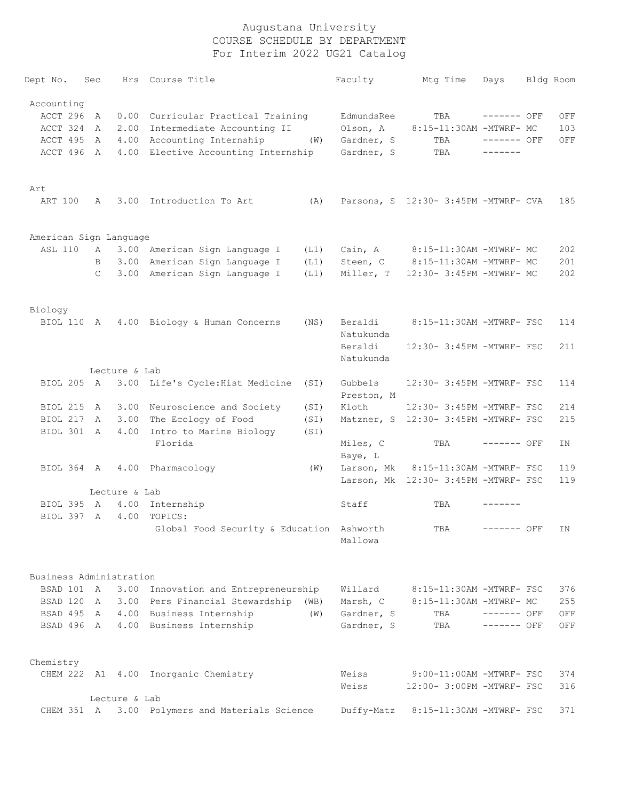| Dept No.                | Sec           |               | Hrs Course Title                          |      | Faculty    | Mtg Time                             | Days         | Bldg Room |
|-------------------------|---------------|---------------|-------------------------------------------|------|------------|--------------------------------------|--------------|-----------|
| Accounting              |               |               |                                           |      |            |                                      |              |           |
| ACCT 296                | A             |               | 0.00 Curricular Practical Training        |      | EdmundsRee | TBA                                  | $------$ OFF | OFF       |
| ACCT 324                | A             | 2.00          | Intermediate Accounting II                |      | Olson, A   | 8:15-11:30AM -MTWRF- MC              |              | 103       |
| ACCT 495                | A             |               | 4.00 Accounting Internship                | (W)  | Gardner, S | TBA                                  | $------$ OFF | OFF       |
| ACCT 496                | A             |               | 4.00 Elective Accounting Internship       |      | Gardner, S | TBA                                  | -------      |           |
|                         |               |               |                                           |      |            |                                      |              |           |
| Art                     |               |               |                                           |      |            |                                      |              |           |
| ART 100                 | A             |               | 3.00 Introduction To Art                  | (A)  |            | Parsons, S 12:30- 3:45PM -MTWRF- CVA |              | 185       |
|                         |               |               |                                           |      |            |                                      |              |           |
| American Sign Language  |               |               |                                           |      |            |                                      |              |           |
| <b>ASL 110</b>          | A             |               | 3.00 American Sign Language I             | (L1) | Cain, A    | 8:15-11:30AM -MTWRF- MC              |              | 202       |
|                         | B             |               | 3.00 American Sign Language I             | (L1) | Steen, C   | 8:15-11:30AM -MTWRF- MC              |              | 201       |
|                         | $\mathcal{C}$ |               | 3.00 American Sign Language I             | (L1) | Miller, T  | 12:30- 3:45PM -MTWRF- MC             |              | 202       |
| Biology                 |               |               |                                           |      |            |                                      |              |           |
|                         |               |               | BIOL 110 A 4.00 Biology & Human Concerns  | (NS) | Beraldi    | 8:15-11:30AM -MTWRF- FSC             |              | 114       |
|                         |               |               |                                           |      | Natukunda  |                                      |              |           |
|                         |               |               |                                           |      | Beraldi    | 12:30- 3:45PM -MTWRF- FSC            |              | 211       |
|                         |               |               |                                           |      | Natukunda  |                                      |              |           |
|                         |               | Lecture & Lab |                                           |      |            |                                      |              |           |
| BIOL 205 A              |               |               | 3.00 Life's Cycle: Hist Medicine          | (SI) | Gubbels    | 12:30- 3:45PM -MTWRF- FSC            |              | 114       |
|                         |               |               |                                           |      | Preston, M |                                      |              |           |
| BIOL 215                | A             |               | 3.00 Neuroscience and Society             | (SI) | Kloth      | 12:30- 3:45PM -MTWRF- FSC            |              | 214       |
| BIOL 217                | A             | 3.00          | The Ecology of Food                       | (SI) |            | Matzner, S 12:30- 3:45PM -MTWRF- FSC |              | 215       |
| BIOL 301 A              |               | 4.00          | Intro to Marine Biology                   | (SI) |            |                                      |              |           |
|                         |               |               | Florida                                   |      | Miles, C   | TBA                                  | ------- OFF  | ΙN        |
|                         |               |               |                                           |      | Baye, L    |                                      |              |           |
| BIOL 364 A              |               |               | 4.00 Pharmacology                         | (W)  | Larson, Mk | 8:15-11:30AM -MTWRF- FSC             |              | 119       |
|                         |               |               |                                           |      |            | Larson, Mk 12:30- 3:45PM -MTWRF- FSC |              | 119       |
|                         |               | Lecture & Lab |                                           |      |            |                                      |              |           |
| BIOL 395                | $\mathbb{A}$  |               | 4.00 Internship                           |      | Staff      | TBA                                  |              |           |
| BIOL 397 A              |               | 4.00          | TOPICS:                                   |      |            |                                      |              |           |
|                         |               |               | Global Food Security & Education Ashworth |      |            | TBA                                  | ------- OFF  | IN        |
|                         |               |               |                                           |      | Mallowa    |                                      |              |           |
| Business Administration |               |               |                                           |      |            |                                      |              |           |
| BSAD 101 A              |               |               | 3.00 Innovation and Entrepreneurship      |      | Willard    | 8:15-11:30AM -MTWRF- FSC             |              | 376       |
| BSAD 120 A              |               |               | 3.00 Pers Financial Stewardship (WB)      |      | Marsh, C   | 8:15-11:30AM -MTWRF- MC              |              | 255       |
| BSAD 495 A              |               |               | 4.00 Business Internship                  | (W)  | Gardner, S | TBA                                  | $------$ OFF | OFF       |
| BSAD 496 A              |               |               | 4.00 Business Internship                  |      | Gardner, S | TBA                                  | $------$ OFF | OFF       |
|                         |               |               |                                           |      |            |                                      |              |           |
| Chemistry               |               |               |                                           |      |            |                                      |              |           |
|                         |               |               | CHEM 222 A1 4.00 Inorganic Chemistry      |      | Weiss      | 9:00-11:00AM -MTWRF- FSC             |              | 374       |
|                         |               |               |                                           |      | Weiss      | 12:00- 3:00PM -MTWRF- FSC            |              | 316       |
|                         |               | Lecture & Lab |                                           |      |            |                                      |              |           |
| CHEM 351 A              |               |               | 3.00 Polymers and Materials Science       |      | Duffy-Matz | 8:15-11:30AM -MTWRF- FSC             |              | 371       |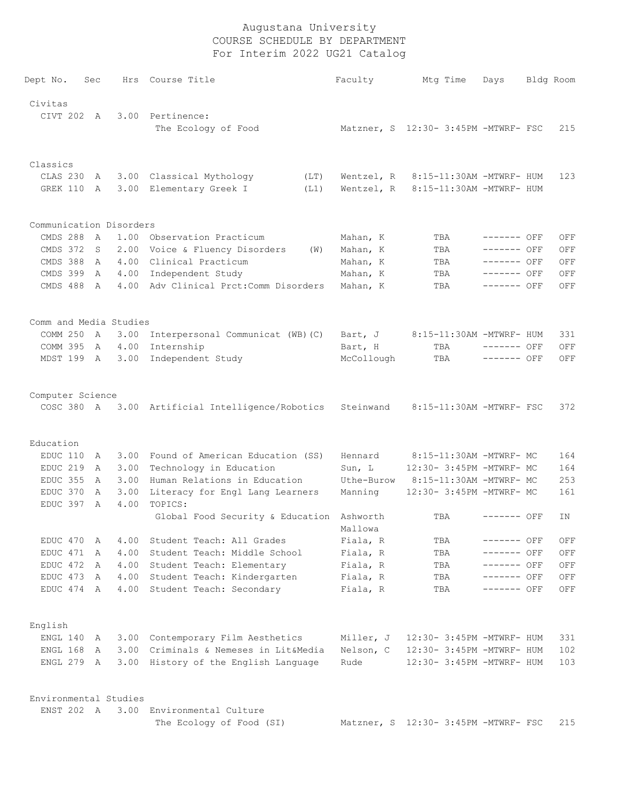| Dept No.                | Sec |        | Hrs Course Title                                 | Faculty    | Mtg Time                             | Days         | Bldg Room |
|-------------------------|-----|--------|--------------------------------------------------|------------|--------------------------------------|--------------|-----------|
| Civitas                 |     |        |                                                  |            |                                      |              |           |
|                         |     |        | CIVT 202 A 3.00 Pertinence:                      |            |                                      |              |           |
|                         |     |        | The Ecology of Food                              |            | Matzner, S 12:30- 3:45PM -MTWRF- FSC |              | 215       |
|                         |     |        |                                                  |            |                                      |              |           |
| Classics                |     |        |                                                  |            |                                      |              |           |
| CLAS 230                | A   |        | 3.00 Classical Mythology<br>(LT)                 | Wentzel, R | 8:15-11:30AM -MTWRF- HUM             |              | 123       |
| GREK 110                | A   |        | 3.00 Elementary Greek I<br>(L1)                  | Wentzel, R | 8:15-11:30AM -MTWRF- HUM             |              |           |
| Communication Disorders |     |        |                                                  |            |                                      |              |           |
| CMDS 288                | A   |        | 1.00 Observation Practicum                       | Mahan, K   | TBA                                  | $------$ OFF | OFF       |
| CMDS 372                | S   |        | 2.00 Voice & Fluency Disorders<br>(W)            | Mahan, K   | TBA                                  | ------- OFF  | OFF       |
| CMDS 388                | A   |        | 4.00 Clinical Practicum                          | Mahan, K   | TBA                                  | $------$ OFF | OFF       |
| CMDS 399                | A   |        | 4.00 Independent Study                           | Mahan, K   | TBA                                  | $------$ OFF | OFF       |
| CMDS 488 A              |     |        | 4.00 Adv Clinical Prct: Comm Disorders           | Mahan, K   | TBA                                  | $-----$ OFF  | OFF       |
| Comm and Media Studies  |     |        |                                                  |            |                                      |              |           |
| COMM 250 A              |     |        | 3.00 Interpersonal Communicat (WB) (C)           | Bart, J    | 8:15-11:30AM -MTWRF- HUM             |              | 331       |
| COMM 395                |     | A 4.00 | Internship                                       | Bart, H    | TBA                                  | ------- OFF  | OFF       |
| MDST 199 A              |     | 3.00   | Independent Study                                | McCollough | TBA                                  | $------$ OFF | OFF       |
| Computer Science        |     |        |                                                  |            |                                      |              |           |
|                         |     |        | COSC 380 A 3.00 Artificial Intelligence/Robotics | Steinwand  | 8:15-11:30AM -MTWRF- FSC             |              | 372       |
| Education               |     |        |                                                  |            |                                      |              |           |
| EDUC 110                | A   |        | 3.00 Found of American Education (SS)            | Hennard    | 8:15-11:30AM -MTWRF- MC              |              | 164       |
| EDUC 219                | A   | 3.00   | Technology in Education                          | Sun, L     | 12:30- 3:45PM -MTWRF- MC             |              | 164       |
| EDUC 355                | A   | 3.00   | Human Relations in Education                     | Uthe-Burow | 8:15-11:30AM -MTWRF- MC              |              | 253       |
| EDUC 370                | A   | 3.00   | Literacy for Engl Lang Learners                  | Manning    | 12:30- 3:45PM -MTWRF- MC             |              | 161       |
| EDUC 397                | A   | 4.00   | TOPICS:                                          |            |                                      |              |           |
|                         |     |        | Global Food Security & Education Ashworth        | Mallowa    | TBA                                  | ------- OFF  | ΙN        |
| EDUC 470                | A   | 4.00   | Student Teach: All Grades                        | Fiala, R   | TBA                                  | ------- OFF  | OFF       |
| EDUC 471                | A   | 4.00   | Student Teach: Middle School                     | Fiala, R   | TBA                                  | ------- OFF  | OFF       |
| EDUC 472                | A   | 4.00   | Student Teach: Elementary                        | Fiala, R   | TBA                                  | ------- OFF  | OFF       |
| EDUC 473                | A   | 4.00   | Student Teach: Kindergarten                      | Fiala, R   | TBA                                  | $------$ OFF | OFF       |
| EDUC 474 A              |     | 4.00   | Student Teach: Secondary                         | Fiala, R   | TBA                                  | ------- OFF  | OFF       |
| English                 |     |        |                                                  |            |                                      |              |           |
| ENGL 140                | A   |        | 3.00 Contemporary Film Aesthetics                | Miller, J  | 12:30- 3:45PM -MTWRF- HUM            |              | 331       |
| ENGL 168                | A   | 3.00   | Criminals & Nemeses in Lit&Media                 | Nelson, C  | 12:30- 3:45PM -MTWRF- HUM            |              | 102       |
| ENGL 279                | A   | 3.00   | History of the English Language                  | Rude       | 12:30- 3:45PM -MTWRF- HUM            |              | 103       |
| Environmental Studies   |     |        |                                                  |            |                                      |              |           |
| ENST 202 A              |     |        | 3.00 Environmental Culture                       |            |                                      |              |           |
|                         |     |        | The Ecology of Food (SI)                         |            | Matzner, S 12:30- 3:45PM -MTWRF- FSC |              | 215       |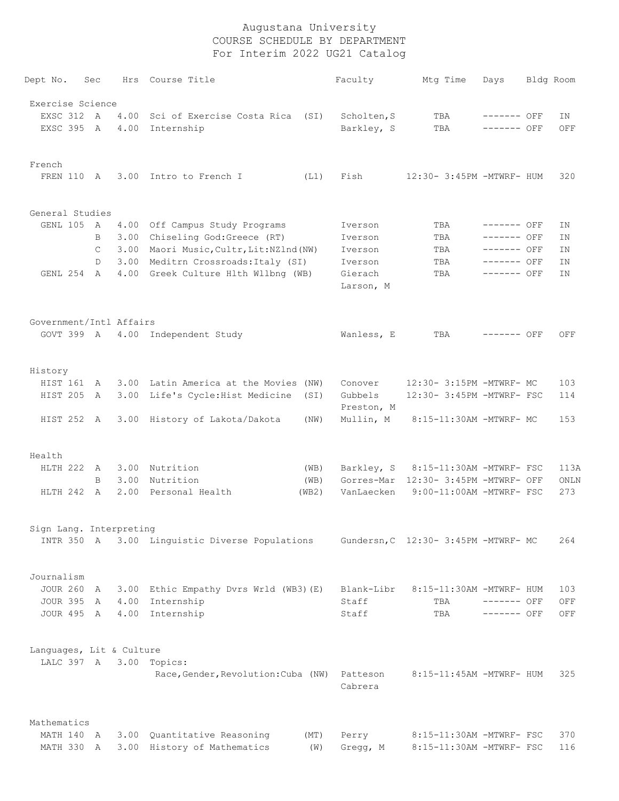| Dept No.                 | Sec |      | Hrs Course Title                      |       | Faculty               | Mtg Time                             | Days         | Bldg Room |
|--------------------------|-----|------|---------------------------------------|-------|-----------------------|--------------------------------------|--------------|-----------|
| Exercise Science         |     |      |                                       |       |                       |                                      |              |           |
| EXSC 312 A               |     | 4.00 | Sci of Exercise Costa Rica            | (SI)  | Scholten, S           | TBA                                  | ------- OFF  | ΙN        |
| EXSC 395 A               |     | 4.00 | Internship                            |       | Barkley, S            | TBA                                  | ------- OFF  | OFF       |
| French                   |     |      |                                       |       |                       |                                      |              |           |
| FREN 110 A               |     |      | 3.00 Intro to French I                | (L1)  | Fish                  | 12:30- 3:45PM -MTWRF- HUM            |              | 320       |
| General Studies          |     |      |                                       |       |                       |                                      |              |           |
| GENL 105 A               |     |      | 4.00 Off Campus Study Programs        |       | Iverson               | TBA                                  | ------- OFF  | ΙN        |
|                          | B   | 3.00 | Chiseling God:Greece (RT)             |       | Iverson               | TBA                                  | ------- OFF  | ΙN        |
|                          | C   | 3.00 | Maori Music, Cultr, Lit: NZlnd (NW)   |       | Iverson               | TBA                                  | ------- OFF  | ΙN        |
|                          | D   | 3.00 | Meditrn Crossroads: Italy (SI)        |       | Iverson               | TBA                                  | ------- OFF  | ΙN        |
| GENL 254 A               |     |      | 4.00 Greek Culture Hlth Wllbng (WB)   |       | Gierach<br>Larson, M  | TBA                                  | $------$ OFF | ΙN        |
| Government/Intl Affairs  |     |      |                                       |       |                       |                                      |              |           |
|                          |     |      | GOVT 399 A 4.00 Independent Study     |       | Wanless, E            | TBA                                  | ------- OFF  | OFF       |
|                          |     |      |                                       |       |                       |                                      |              |           |
| History                  |     |      |                                       |       |                       |                                      |              |           |
| HIST 161                 | A   |      | 3.00 Latin America at the Movies (NW) |       | Conover               | 12:30- 3:15PM -MTWRF- MC             |              | 103       |
| HIST 205                 | A   | 3.00 | Life's Cycle:Hist Medicine            | (SI)  | Gubbels<br>Preston, M | 12:30- 3:45PM -MTWRF- FSC            |              | 114       |
| HIST 252 A               |     |      | 3.00 History of Lakota/Dakota         | (NW)  | Mullin, M             | 8:15-11:30AM -MTWRF- MC              |              | 153       |
| Health                   |     |      |                                       |       |                       |                                      |              |           |
| HLTH 222                 | A   |      | 3.00 Nutrition                        | (WB)  | Barkley, S            | 8:15-11:30AM -MTWRF- FSC             |              | 113A      |
|                          | B   | 3.00 | Nutrition                             | (WB)  |                       | Gorres-Mar 12:30- 3:45PM -MTWRF- OFF |              | ONLN      |
| HLTH 242 A               |     | 2.00 | Personal Health                       | (WB2) | VanLaecken            | 9:00-11:00AM -MTWRF- FSC             |              | 273       |
| Sign Lang. Interpreting  |     |      |                                       |       |                       |                                      |              |           |
| INTR 350 A               |     |      | 3.00 Linguistic Diverse Populations   |       |                       | Gundersn, C 12:30- 3:45PM -MTWRF- MC |              | 264       |
| Journalism               |     |      |                                       |       |                       |                                      |              |           |
| <b>JOUR 260</b>          | A   | 3.00 | Ethic Empathy Dvrs Wrld (WB3) (E)     |       | Blank-Libr            | 8:15-11:30AM -MTWRF- HUM             |              | 103       |
| <b>JOUR 395</b>          | A   | 4.00 | Internship                            |       | Staff                 | TBA                                  | $------$ OFF | OFF       |
| JOUR 495 A               |     | 4.00 | Internship                            |       | Staff                 | TBA                                  | $------$ OFF | OFF       |
| Languages, Lit & Culture |     |      |                                       |       |                       |                                      |              |           |
|                          |     |      | LALC 397 A 3.00 Topics:               |       |                       |                                      |              |           |
|                          |     |      | Race, Gender, Revolution: Cuba (NW)   |       | Patteson<br>Cabrera   | 8:15-11:45AM -MTWRF- HUM             |              | 325       |
| Mathematics              |     |      |                                       |       |                       |                                      |              |           |
| MATH 140 A               |     |      | 3.00 Quantitative Reasoning           | (MT)  | Perry                 | 8:15-11:30AM -MTWRF- FSC             |              | 370       |
| MATH 330 A               |     |      | 3.00 History of Mathematics           | (W)   | Gregg, M              | 8:15-11:30AM -MTWRF- FSC             |              | 116       |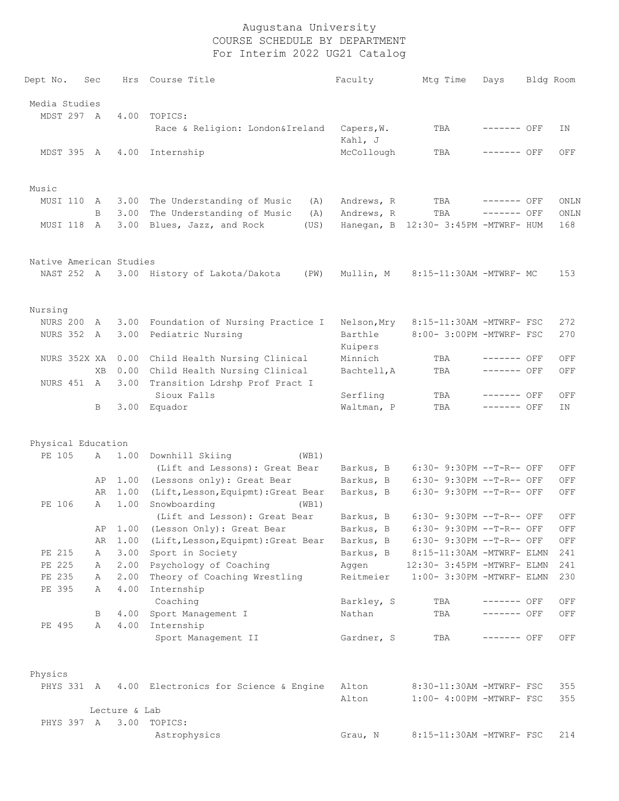| Dept No.                | Sec       |               | Hrs Course Title                                       | Faculty               | Mtg Time                             | Days         | Bldg Room          |
|-------------------------|-----------|---------------|--------------------------------------------------------|-----------------------|--------------------------------------|--------------|--------------------|
| Media Studies           |           |               |                                                        |                       |                                      |              |                    |
| MDST 297 A              |           | 4.00          | TOPICS:                                                |                       |                                      |              |                    |
|                         |           |               | Race & Religion: London&Ireland                        | Capers, W.<br>Kahl, J | TBA                                  | $------$ OFF | ΙN                 |
| MDST 395 A              |           |               | 4.00 Internship                                        | McCollough            | TBA                                  | $------$ OFF | OFF                |
|                         |           |               |                                                        |                       |                                      |              |                    |
| Music                   |           |               |                                                        |                       |                                      |              |                    |
| MUSI 110                | A         |               | 3.00 The Understanding of Music<br>(A)                 | Andrews, R            | TBA                                  | ------- OFF  | ONLN               |
|                         | B         |               | 3.00 The Understanding of Music<br>(A)                 | Andrews, R            | TBA                                  | ------- OFF  | ONLN               |
| MUSI 118                | A         | 3.00          | Blues, Jazz, and Rock<br>(US)                          |                       | Hanegan, B 12:30- 3:45PM -MTWRF- HUM |              | 168                |
| Native American Studies |           |               |                                                        |                       |                                      |              |                    |
|                         |           |               | NAST 252 A 3.00 History of Lakota/Dakota<br>(PW)       | Mullin, M             | 8:15-11:30AM -MTWRF- MC              |              | 153                |
| Nursing                 |           |               |                                                        |                       |                                      |              |                    |
| NURS 200                | A         |               | 3.00 Foundation of Nursing Practice I                  | Nelson, Mry           | 8:15-11:30AM -MTWRF- FSC             |              | 272                |
| NURS 352 A              |           | 3.00          | Pediatric Nursing                                      | Barthle<br>Kuipers    | 8:00- 3:00PM -MTWRF- FSC             |              | 270                |
| NURS 352X XA            |           |               | 0.00 Child Health Nursing Clinical                     | Minnich               | TBA                                  | $------$ OFF | OFF                |
|                         | <b>XB</b> |               | 0.00 Child Health Nursing Clinical                     | Bachtell, A           | TBA                                  | ------- OFF  | OFF                |
| NURS 451                | A         | 3.00          | Transition Ldrshp Prof Pract I                         |                       |                                      |              |                    |
|                         |           |               | Sioux Falls                                            | Serfling              | TBA                                  | $------$ OFF | OFF                |
|                         | B         |               | 3.00 Equador                                           | Waltman, P            | TBA                                  | ------- OFF  | IN                 |
| Physical Education      |           |               |                                                        |                       |                                      |              |                    |
| PE 105                  | A         | 1.00          | Downhill Skiing<br>(WB1)                               |                       |                                      |              |                    |
|                         |           |               | (Lift and Lessons): Great Bear                         | Barkus, B             | $6:30-9:30PM -T-R--OFF$              |              | OFF                |
|                         | AP        | 1.00          | (Lessons only): Great Bear                             | Barkus, B             | $6:30-9:30PM -T-R--OFF$              |              | OFF                |
|                         | AR        | 1.00          | (Lift, Lesson, Equipmt): Great Bear                    | Barkus, B             | 6:30- 9:30PM --T-R-- OFF             |              | OFF                |
| PE 106                  | Α         | 1.00          | Snowboarding<br>(WB1)<br>(Lift and Lesson): Great Bear | Barkus, B             | 6:30- 9:30PM --T-R-- OFF             |              | OFF                |
|                         |           |               | AP 1.00 (Lesson Only): Great Bear                      | Barkus, B             | 6:30- 9:30PM --T-R-- OFF             |              | $\mathop{\rm OFF}$ |
|                         | AR        | 1.00          | (Lift, Lesson, Equipmt): Great Bear                    | Barkus, B             | 6:30- 9:30PM --T-R-- OFF             |              | OFF                |
| PE 215                  | Α         | 3.00          | Sport in Society                                       | Barkus, B             | 8:15-11:30AM -MTWRF- ELMN            |              | 241                |
| PE 225                  | Α         |               | 2.00 Psychology of Coaching                            | Aggen                 | 12:30- 3:45PM -MTWRF- ELMN           |              | 241                |
| PE 235                  | А         | 2.00          | Theory of Coaching Wrestling                           | Reitmeier             | 1:00- 3:30PM -MTWRF- ELMN            |              | 230                |
| PE 395                  | Α         | 4.00          | Internship                                             |                       |                                      |              |                    |
|                         |           |               | Coaching                                               | Barkley, S            | TBA                                  | $------$ OFF | OFF                |
|                         | В         | 4.00          | Sport Management I                                     | Nathan                | TBA                                  | ------- OFF  | OFF                |
| PE 495                  | Α         | 4.00          | Internship                                             |                       |                                      |              |                    |
|                         |           |               | Sport Management II                                    | Gardner, S            | TBA                                  | ------- OFF  | OFF                |
| Physics                 |           |               |                                                        |                       |                                      |              |                    |
|                         |           |               | PHYS 331 A 4.00 Electronics for Science & Engine       | Alton                 | 8:30-11:30AM -MTWRF- FSC             |              | 355                |
|                         |           |               |                                                        | Alton                 | 1:00- 4:00PM -MTWRF- FSC             |              | 355                |
|                         |           | Lecture & Lab |                                                        |                       |                                      |              |                    |
| PHYS 397 A              |           | 3.00          | TOPICS:                                                |                       |                                      |              |                    |
|                         |           |               | Astrophysics                                           | Grau, N               | 8:15-11:30AM -MTWRF- FSC             |              | 214                |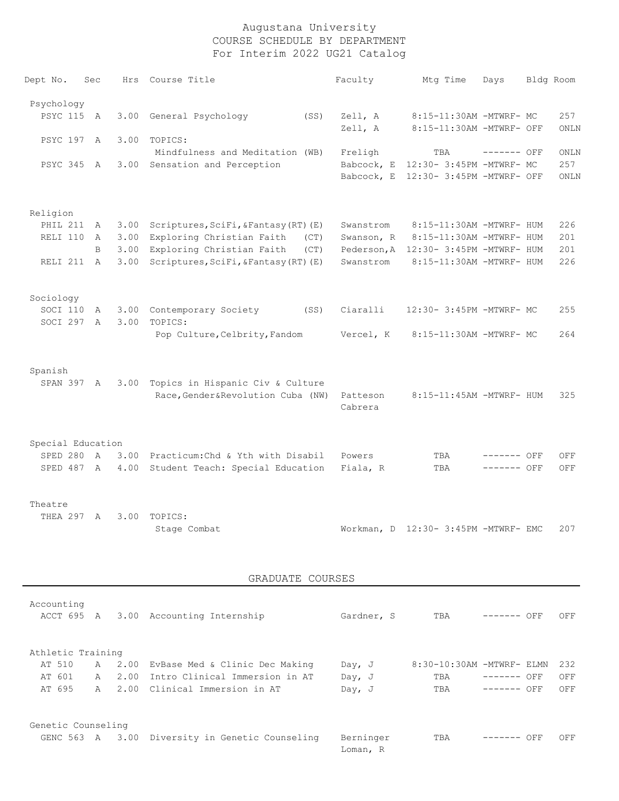| Dept No.          | Sec            | Hrs  | Course Title                          | Faculty             | Mtg Time                             | Days        | Bldg Room |
|-------------------|----------------|------|---------------------------------------|---------------------|--------------------------------------|-------------|-----------|
| Psychology        |                |      |                                       |                     |                                      |             |           |
| <b>PSYC 115</b>   | A              | 3.00 | General Psychology<br>(SS)            | Zell, A             | 8:15-11:30AM -MTWRF- MC              |             | 257       |
|                   |                |      |                                       | Zell, A             | 8:15-11:30AM -MTWRF- OFF             |             | ONLN      |
| PSYC 197 A        |                | 3.00 | TOPICS:                               |                     |                                      |             |           |
|                   |                |      | Mindfulness and Meditation (WB)       | Freligh             | TBA                                  | ------- OFF | ONLN      |
| PSYC 345 A        |                | 3.00 | Sensation and Perception              | Babcock, E          | 12:30- 3:45PM -MTWRF- MC             |             | 257       |
|                   |                |      |                                       | Babcock, E          | 12:30- 3:45PM -MTWRF- OFF            |             | ONLN      |
| Religion          |                |      |                                       |                     |                                      |             |           |
| PHIL 211          | A              | 3.00 | Scriptures, SciFi, & Fantasy (RT) (E) | Swanstrom           | 8:15-11:30AM -MTWRF- HUM             |             | 226       |
| RELI 110          | $\mathsf{A}$   | 3.00 | Exploring Christian Faith<br>(CT)     | Swanson, R          | 8:15-11:30AM -MTWRF- HUM             |             | 201       |
|                   | B              | 3.00 | Exploring Christian Faith<br>(CT)     | Pederson, A         | 12:30- 3:45PM -MTWRF- HUM            |             | 201       |
| RELI 211          | <b>A</b>       | 3.00 | Scriptures, SciFi, &Fantasy (RT) (E)  | Swanstrom           | 8:15-11:30AM -MTWRF- HUM             |             | 226       |
| Sociology         |                |      |                                       |                     |                                      |             |           |
| SOCI 110          | A              | 3.00 | Contemporary Society<br>(SS)          | Ciaralli            | 12:30- 3:45PM -MTWRF- MC             |             | 255       |
| SOCI 297          | $\overline{A}$ | 3.00 | TOPICS:                               |                     |                                      |             |           |
|                   |                |      | Pop Culture, Celbrity, Fandom         | Vercel, K           | 8:15-11:30AM -MTWRF- MC              |             | 264       |
| Spanish           |                |      |                                       |                     |                                      |             |           |
| SPAN 397 A        |                | 3.00 | Topics in Hispanic Civ & Culture      |                     |                                      |             |           |
|                   |                |      | Race, Gender&Revolution Cuba (NW)     | Patteson<br>Cabrera | 8:15-11:45AM -MTWRF- HUM             |             | 325       |
| Special Education |                |      |                                       |                     |                                      |             |           |
| SPED 280          | $\overline{A}$ | 3.00 | Practicum: Chd & Yth with Disabil     | Powers              | TBA                                  | ------- OFF | OFF       |
| SPED 487 A        |                | 4.00 | Student Teach: Special Education      | Fiala, R            | TBA                                  | ------- OFF | OFF       |
|                   |                |      |                                       |                     |                                      |             |           |
| Theatre           |                |      |                                       |                     |                                      |             |           |
| THEA 297          | $\overline{A}$ | 3.00 | TOPICS:                               |                     |                                      |             |           |
|                   |                |      | Stage Combat                          |                     | Workman, D 12:30- 3:45PM -MTWRF- EMC |             | 207       |

#### GRADUATE COURSES

| Accounting         |              |      |                                 |            |                           |             |     |     |
|--------------------|--------------|------|---------------------------------|------------|---------------------------|-------------|-----|-----|
| ACCT 695 A         |              |      | 3.00 Accounting Internship      | Gardner, S | TBA                       | --------    | OFF | OFF |
|                    |              |      |                                 |            |                           |             |     |     |
|                    |              |      |                                 |            |                           |             |     |     |
| Athletic Training  |              |      |                                 |            |                           |             |     |     |
| AT 510             | A            | 2.00 | EvBase Med & Clinic Dec Making  | Day, $J$   | 8:30-10:30AM -MTWRF- ELMN |             |     | 232 |
| AT 601             | $\mathsf{A}$ | 2.00 | Intro Clinical Immersion in AT  | Day, $J$   | TBA                       | ------- OFF |     | OFF |
| AT 695             | A            |      | 2.00 Clinical Immersion in AT   | Day, $J$   | TBA                       | ------- OFF |     | OFF |
|                    |              |      |                                 |            |                           |             |     |     |
|                    |              |      |                                 |            |                           |             |     |     |
| Genetic Counseling |              |      |                                 |            |                           |             |     |     |
| GENC 563 A         |              | 3.00 | Diversity in Genetic Counseling | Berninger  | TBA                       | --------    | OFF | OFF |
|                    |              |      |                                 | Loman, R   |                           |             |     |     |